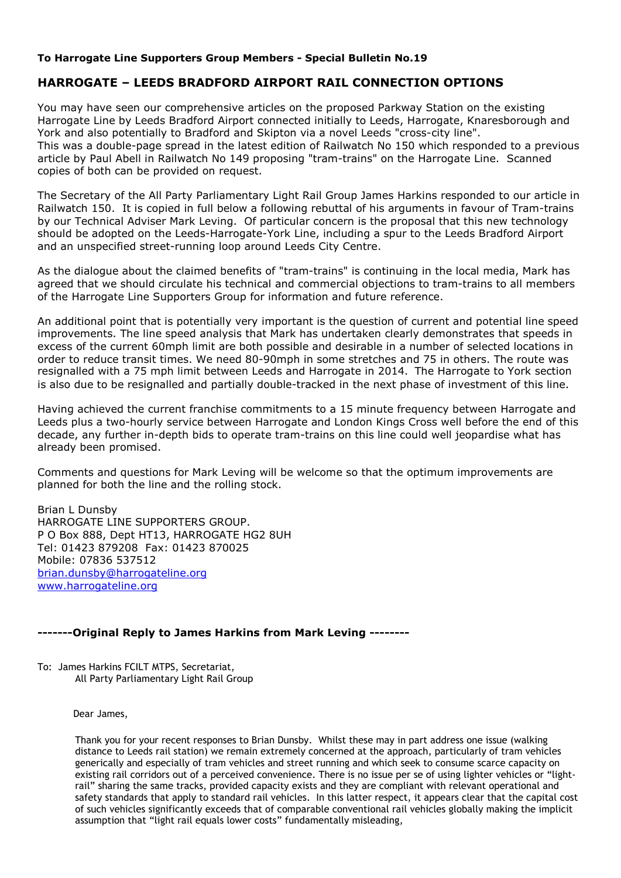#### **To Harrogate Line Supporters Group Members - Special Bulletin No.19**

## **HARROGATE – LEEDS BRADFORD AIRPORT RAIL CONNECTION OPTIONS**

You may have seen our comprehensive articles on the proposed Parkway Station on the existing Harrogate Line by Leeds Bradford Airport connected initially to Leeds, Harrogate, Knaresborough and York and also potentially to Bradford and Skipton via a novel Leeds "cross-city line". This was a double-page spread in the latest edition of Railwatch No 150 which responded to a previous article by Paul Abell in Railwatch No 149 proposing "tram-trains" on the Harrogate Line. Scanned copies of both can be provided on request.

The Secretary of the All Party Parliamentary Light Rail Group James Harkins responded to our article in Railwatch 150. It is copied in full below a following rebuttal of his arguments in favour of Tram-trains by our Technical Adviser Mark Leving. Of particular concern is the proposal that this new technology should be adopted on the Leeds-Harrogate-York Line, including a spur to the Leeds Bradford Airport and an unspecified street-running loop around Leeds City Centre.

As the dialogue about the claimed benefits of "tram-trains" is continuing in the local media, Mark has agreed that we should circulate his technical and commercial objections to tram-trains to all members of the Harrogate Line Supporters Group for information and future reference.

An additional point that is potentially very important is the question of current and potential line speed improvements. The line speed analysis that Mark has undertaken clearly demonstrates that speeds in excess of the current 60mph limit are both possible and desirable in a number of selected locations in order to reduce transit times. We need 80-90mph in some stretches and 75 in others. The route was resignalled with a 75 mph limit between Leeds and Harrogate in 2014. The Harrogate to York section is also due to be resignalled and partially double-tracked in the next phase of investment of this line.

Having achieved the current franchise commitments to a 15 minute frequency between Harrogate and Leeds plus a two-hourly service between Harrogate and London Kings Cross well before the end of this decade, any further in-depth bids to operate tram-trains on this line could well jeopardise what has already been promised.

Comments and questions for Mark Leving will be welcome so that the optimum improvements are planned for both the line and the rolling stock.

Brian L Dunsby HARROGATE LINE SUPPORTERS GROUP. P O Box 888, Dept HT13, HARROGATE HG2 8UH Tel: 01423 879208 Fax: 01423 870025 Mobile: 07836 537512 brian.dunsby@harrogateline.org www.harrogateline.org

### **-------Original Reply to James Harkins from Mark Leving --------**

To: James Harkins FCILT MTPS, Secretariat, All Party Parliamentary Light Rail Group

Dear James,

Thank you for your recent responses to Brian Dunsby. Whilst these may in part address one issue (walking distance to Leeds rail station) we remain extremely concerned at the approach, particularly of tram vehicles generically and especially of tram vehicles and street running and which seek to consume scarce capacity on existing rail corridors out of a perceived convenience. There is no issue per se of using lighter vehicles or "lightrail" sharing the same tracks, provided capacity exists and they are compliant with relevant operational and safety standards that apply to standard rail vehicles. In this latter respect, it appears clear that the capital cost of such vehicles significantly exceeds that of comparable conventional rail vehicles globally making the implicit assumption that "light rail equals lower costs" fundamentally misleading,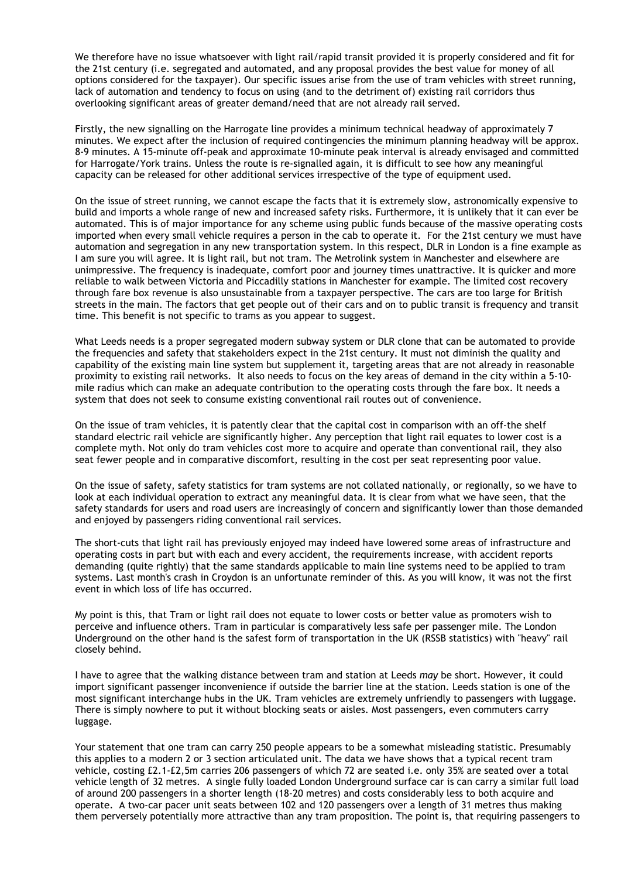We therefore have no issue whatsoever with light rail/rapid transit provided it is properly considered and fit for the 21st century (i.e. segregated and automated, and any proposal provides the best value for money of all options considered for the taxpayer). Our specific issues arise from the use of tram vehicles with street running, lack of automation and tendency to focus on using (and to the detriment of) existing rail corridors thus overlooking significant areas of greater demand/need that are not already rail served.

Firstly, the new signalling on the Harrogate line provides a minimum technical headway of approximately 7 minutes. We expect after the inclusion of required contingencies the minimum planning headway will be approx. 8-9 minutes. A 15-minute off-peak and approximate 10-minute peak interval is already envisaged and committed for Harrogate/York trains. Unless the route is re-signalled again, it is difficult to see how any meaningful capacity can be released for other additional services irrespective of the type of equipment used.

On the issue of street running, we cannot escape the facts that it is extremely slow, astronomically expensive to build and imports a whole range of new and increased safety risks. Furthermore, it is unlikely that it can ever be automated. This is of major importance for any scheme using public funds because of the massive operating costs imported when every small vehicle requires a person in the cab to operate it. For the 21st century we must have automation and segregation in any new transportation system. In this respect, DLR in London is a fine example as I am sure you will agree. It is light rail, but not tram. The Metrolink system in Manchester and elsewhere are unimpressive. The frequency is inadequate, comfort poor and journey times unattractive. It is quicker and more reliable to walk between Victoria and Piccadilly stations in Manchester for example. The limited cost recovery through fare box revenue is also unsustainable from a taxpayer perspective. The cars are too large for British streets in the main. The factors that get people out of their cars and on to public transit is frequency and transit time. This benefit is not specific to trams as you appear to suggest.

What Leeds needs is a proper segregated modern subway system or DLR clone that can be automated to provide the frequencies and safety that stakeholders expect in the 21st century. It must not diminish the quality and capability of the existing main line system but supplement it, targeting areas that are not already in reasonable proximity to existing rail networks. It also needs to focus on the key areas of demand in the city within a 5-10 mile radius which can make an adequate contribution to the operating costs through the fare box. It needs a system that does not seek to consume existing conventional rail routes out of convenience.

On the issue of tram vehicles, it is patently clear that the capital cost in comparison with an off-the shelf standard electric rail vehicle are significantly higher. Any perception that light rail equates to lower cost is a complete myth. Not only do tram vehicles cost more to acquire and operate than conventional rail, they also seat fewer people and in comparative discomfort, resulting in the cost per seat representing poor value.

On the issue of safety, safety statistics for tram systems are not collated nationally, or regionally, so we have to look at each individual operation to extract any meaningful data. It is clear from what we have seen, that the safety standards for users and road users are increasingly of concern and significantly lower than those demanded and enjoyed by passengers riding conventional rail services.

The short-cuts that light rail has previously enjoyed may indeed have lowered some areas of infrastructure and operating costs in part but with each and every accident, the requirements increase, with accident reports demanding (quite rightly) that the same standards applicable to main line systems need to be applied to tram systems. Last month's crash in Croydon is an unfortunate reminder of this. As you will know, it was not the first event in which loss of life has occurred.

My point is this, that Tram or light rail does not equate to lower costs or better value as promoters wish to perceive and influence others. Tram in particular is comparatively less safe per passenger mile. The London Underground on the other hand is the safest form of transportation in the UK (RSSB statistics) with "heavy" rail closely behind.

I have to agree that the walking distance between tram and station at Leeds *may* be short. However, it could import significant passenger inconvenience if outside the barrier line at the station. Leeds station is one of the most significant interchange hubs in the UK. Tram vehicles are extremely unfriendly to passengers with luggage. There is simply nowhere to put it without blocking seats or aisles. Most passengers, even commuters carry luggage.

Your statement that one tram can carry 250 people appears to be a somewhat misleading statistic. Presumably this applies to a modern 2 or 3 section articulated unit. The data we have shows that a typical recent tram vehicle, costing £2.1-£2,5m carries 206 passengers of which 72 are seated i.e. only 35% are seated over a total vehicle length of 32 metres. A single fully loaded London Underground surface car is can carry a similar full load of around 200 passengers in a shorter length (18-20 metres) and costs considerably less to both acquire and operate. A two-car pacer unit seats between 102 and 120 passengers over a length of 31 metres thus making them perversely potentially more attractive than any tram proposition. The point is, that requiring passengers to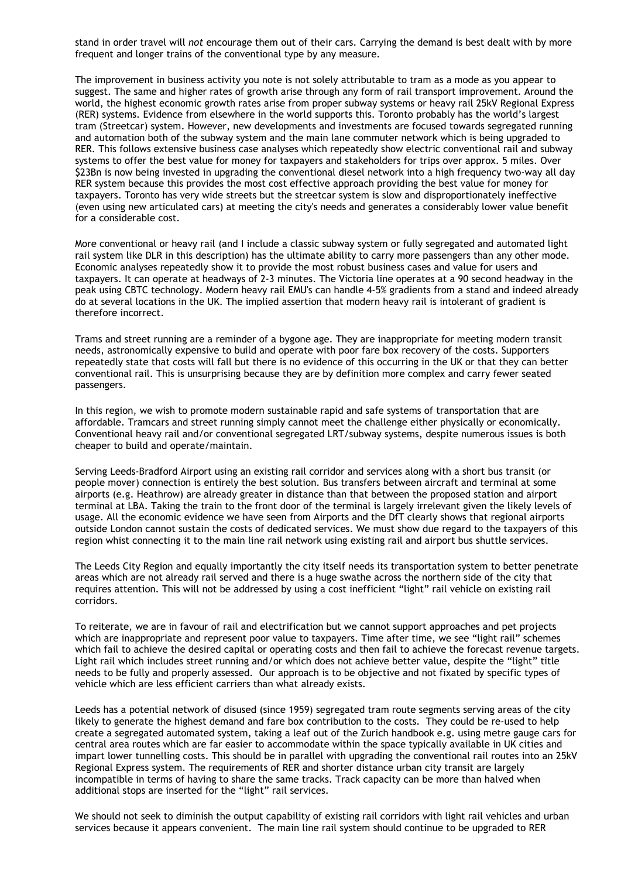stand in order travel will *not* encourage them out of their cars. Carrying the demand is best dealt with by more frequent and longer trains of the conventional type by any measure.

The improvement in business activity you note is not solely attributable to tram as a mode as you appear to suggest. The same and higher rates of growth arise through any form of rail transport improvement. Around the world, the highest economic growth rates arise from proper subway systems or heavy rail 25kV Regional Express (RER) systems. Evidence from elsewhere in the world supports this. Toronto probably has the world's largest tram (Streetcar) system. However, new developments and investments are focused towards segregated running and automation both of the subway system and the main lane commuter network which is being upgraded to RER. This follows extensive business case analyses which repeatedly show electric conventional rail and subway systems to offer the best value for money for taxpayers and stakeholders for trips over approx. 5 miles. Over \$23Bn is now being invested in upgrading the conventional diesel network into a high frequency two-way all day RER system because this provides the most cost effective approach providing the best value for money for taxpayers. Toronto has very wide streets but the streetcar system is slow and disproportionately ineffective (even using new articulated cars) at meeting the city's needs and generates a considerably lower value benefit for a considerable cost.

More conventional or heavy rail (and I include a classic subway system or fully segregated and automated light rail system like DLR in this description) has the ultimate ability to carry more passengers than any other mode. Economic analyses repeatedly show it to provide the most robust business cases and value for users and taxpayers. It can operate at headways of 2-3 minutes. The Victoria line operates at a 90 second headway in the peak using CBTC technology. Modern heavy rail EMU's can handle 4-5% gradients from a stand and indeed already do at several locations in the UK. The implied assertion that modern heavy rail is intolerant of gradient is therefore incorrect.

Trams and street running are a reminder of a bygone age. They are inappropriate for meeting modern transit needs, astronomically expensive to build and operate with poor fare box recovery of the costs. Supporters repeatedly state that costs will fall but there is no evidence of this occurring in the UK or that they can better conventional rail. This is unsurprising because they are by definition more complex and carry fewer seated passengers.

In this region, we wish to promote modern sustainable rapid and safe systems of transportation that are affordable. Tramcars and street running simply cannot meet the challenge either physically or economically. Conventional heavy rail and/or conventional segregated LRT/subway systems, despite numerous issues is both cheaper to build and operate/maintain.

Serving Leeds-Bradford Airport using an existing rail corridor and services along with a short bus transit (or people mover) connection is entirely the best solution. Bus transfers between aircraft and terminal at some airports (e.g. Heathrow) are already greater in distance than that between the proposed station and airport terminal at LBA. Taking the train to the front door of the terminal is largely irrelevant given the likely levels of usage. All the economic evidence we have seen from Airports and the DfT clearly shows that regional airports outside London cannot sustain the costs of dedicated services. We must show due regard to the taxpayers of this region whist connecting it to the main line rail network using existing rail and airport bus shuttle services.

The Leeds City Region and equally importantly the city itself needs its transportation system to better penetrate areas which are not already rail served and there is a huge swathe across the northern side of the city that requires attention. This will not be addressed by using a cost inefficient "light" rail vehicle on existing rail corridors.

To reiterate, we are in favour of rail and electrification but we cannot support approaches and pet projects which are inappropriate and represent poor value to taxpayers. Time after time, we see "light rail" schemes which fail to achieve the desired capital or operating costs and then fail to achieve the forecast revenue targets. Light rail which includes street running and/or which does not achieve better value, despite the "light" title needs to be fully and properly assessed. Our approach is to be objective and not fixated by specific types of vehicle which are less efficient carriers than what already exists.

Leeds has a potential network of disused (since 1959) segregated tram route segments serving areas of the city likely to generate the highest demand and fare box contribution to the costs. They could be re-used to help create a segregated automated system, taking a leaf out of the Zurich handbook e.g. using metre gauge cars for central area routes which are far easier to accommodate within the space typically available in UK cities and impart lower tunnelling costs. This should be in parallel with upgrading the conventional rail routes into an 25kV Regional Express system. The requirements of RER and shorter distance urban city transit are largely incompatible in terms of having to share the same tracks. Track capacity can be more than halved when additional stops are inserted for the "light" rail services.

We should not seek to diminish the output capability of existing rail corridors with light rail vehicles and urban services because it appears convenient. The main line rail system should continue to be upgraded to RER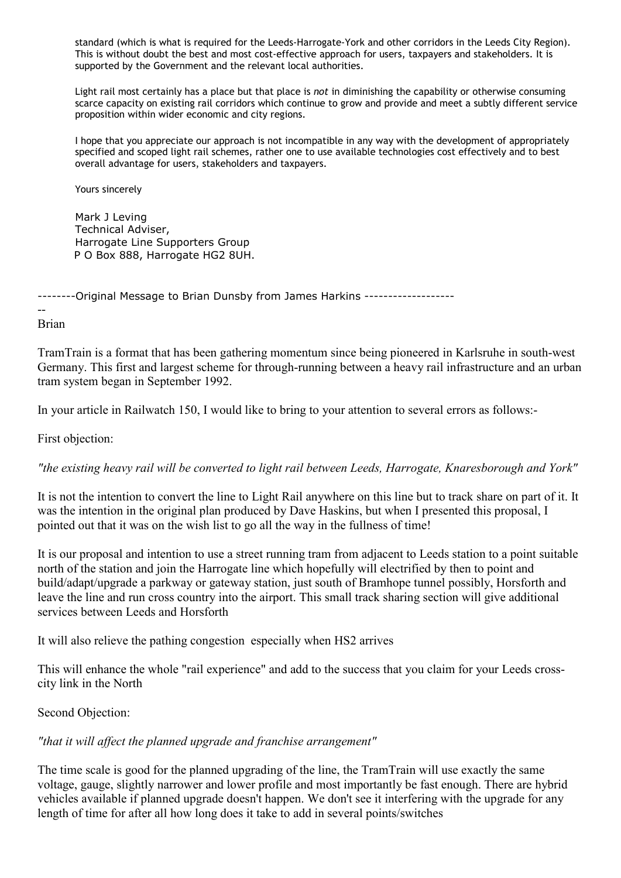standard (which is what is required for the Leeds-Harrogate-York and other corridors in the Leeds City Region). This is without doubt the best and most cost-effective approach for users, taxpayers and stakeholders. It is supported by the Government and the relevant local authorities.

Light rail most certainly has a place but that place is *not* in diminishing the capability or otherwise consuming scarce capacity on existing rail corridors which continue to grow and provide and meet a subtly different service proposition within wider economic and city regions.

I hope that you appreciate our approach is not incompatible in any way with the development of appropriately specified and scoped light rail schemes, rather one to use available technologies cost effectively and to best overall advantage for users, stakeholders and taxpayers.

Yours sincerely

Mark J Leving Technical Adviser, Harrogate Line Supporters Group P O Box 888, Harrogate HG2 8UH.

--------Original Message to Brian Dunsby from James Harkins -------------------

Brian

--

TramTrain is a format that has been gathering momentum since being pioneered in Karlsruhe in south-west Germany. This first and largest scheme for through-running between a heavy rail infrastructure and an urban tram system began in September 1992.

In your article in Railwatch 150, I would like to bring to your attention to several errors as follows:-

First objection:

*"the existing heavy rail will be converted to light rail between Leeds, Harrogate, Knaresborough and York"* 

It is not the intention to convert the line to Light Rail anywhere on this line but to track share on part of it. It was the intention in the original plan produced by Dave Haskins, but when I presented this proposal, I pointed out that it was on the wish list to go all the way in the fullness of time!

It is our proposal and intention to use a street running tram from adjacent to Leeds station to a point suitable north of the station and join the Harrogate line which hopefully will electrified by then to point and build/adapt/upgrade a parkway or gateway station, just south of Bramhope tunnel possibly, Horsforth and leave the line and run cross country into the airport. This small track sharing section will give additional services between Leeds and Horsforth

It will also relieve the pathing congestion especially when HS2 arrives

This will enhance the whole "rail experience" and add to the success that you claim for your Leeds crosscity link in the North

Second Objection:

### *"that it will affect the planned upgrade and franchise arrangement"*

The time scale is good for the planned upgrading of the line, the TramTrain will use exactly the same voltage, gauge, slightly narrower and lower profile and most importantly be fast enough. There are hybrid vehicles available if planned upgrade doesn't happen. We don't see it interfering with the upgrade for any length of time for after all how long does it take to add in several points/switches